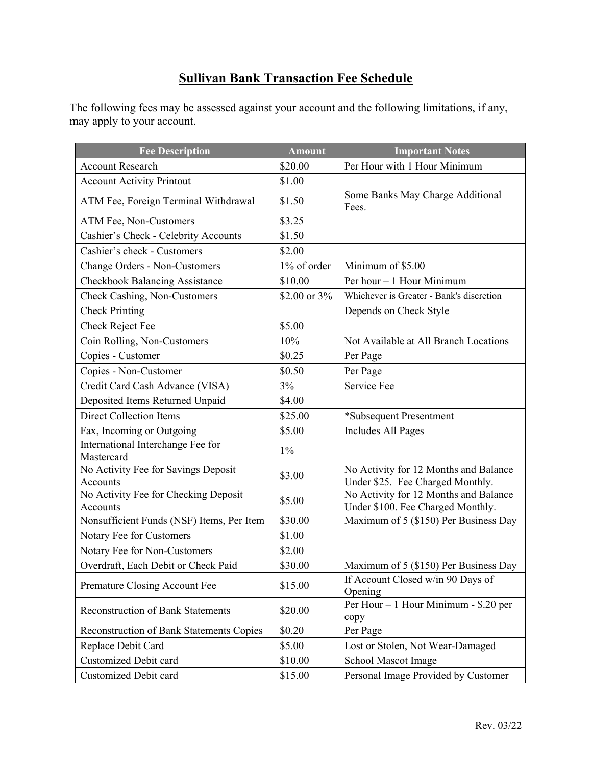## **Sullivan Bank Transaction Fee Schedule**

The following fees may be assessed against your account and the following limitations, if any, may apply to your account.

| <b>Fee Description</b>                           | <b>Amount</b> | <b>Important Notes</b>                                                     |
|--------------------------------------------------|---------------|----------------------------------------------------------------------------|
| <b>Account Research</b>                          | \$20.00       | Per Hour with 1 Hour Minimum                                               |
| <b>Account Activity Printout</b>                 | \$1.00        |                                                                            |
| ATM Fee, Foreign Terminal Withdrawal             | \$1.50        | Some Banks May Charge Additional<br>Fees.                                  |
| ATM Fee, Non-Customers                           | \$3.25        |                                                                            |
| Cashier's Check - Celebrity Accounts             | \$1.50        |                                                                            |
| Cashier's check - Customers                      | \$2.00        |                                                                            |
| <b>Change Orders - Non-Customers</b>             | 1% of order   | Minimum of \$5.00                                                          |
| <b>Checkbook Balancing Assistance</b>            | \$10.00       | Per hour - 1 Hour Minimum                                                  |
| Check Cashing, Non-Customers                     | \$2.00 or 3%  | Whichever is Greater - Bank's discretion                                   |
| <b>Check Printing</b>                            |               | Depends on Check Style                                                     |
| Check Reject Fee                                 | \$5.00        |                                                                            |
| Coin Rolling, Non-Customers                      | 10%           | Not Available at All Branch Locations                                      |
| Copies - Customer                                | \$0.25        | Per Page                                                                   |
| Copies - Non-Customer                            | \$0.50        | Per Page                                                                   |
| Credit Card Cash Advance (VISA)                  | 3%            | Service Fee                                                                |
| Deposited Items Returned Unpaid                  | \$4.00        |                                                                            |
| <b>Direct Collection Items</b>                   | \$25.00       | *Subsequent Presentment                                                    |
| Fax, Incoming or Outgoing                        | \$5.00        | Includes All Pages                                                         |
| International Interchange Fee for<br>Mastercard  | $1\%$         |                                                                            |
| No Activity Fee for Savings Deposit<br>Accounts  | \$3.00        | No Activity for 12 Months and Balance<br>Under \$25. Fee Charged Monthly.  |
| No Activity Fee for Checking Deposit<br>Accounts | \$5.00        | No Activity for 12 Months and Balance<br>Under \$100. Fee Charged Monthly. |
| Nonsufficient Funds (NSF) Items, Per Item        | \$30.00       | Maximum of 5 (\$150) Per Business Day                                      |
| Notary Fee for Customers                         | \$1.00        |                                                                            |
| Notary Fee for Non-Customers                     | \$2.00        |                                                                            |
| Overdraft, Each Debit or Check Paid              | \$30.00       | Maximum of 5 (\$150) Per Business Day                                      |
| Premature Closing Account Fee                    | \$15.00       | If Account Closed w/in 90 Days of<br>Opening                               |
| <b>Reconstruction of Bank Statements</b>         | \$20.00       | Per Hour - 1 Hour Minimum - \$.20 per<br>copy                              |
| Reconstruction of Bank Statements Copies         | \$0.20        | Per Page                                                                   |
| Replace Debit Card                               | \$5.00        | Lost or Stolen, Not Wear-Damaged                                           |
| <b>Customized Debit card</b>                     | \$10.00       | <b>School Mascot Image</b>                                                 |
| Customized Debit card                            | \$15.00       | Personal Image Provided by Customer                                        |